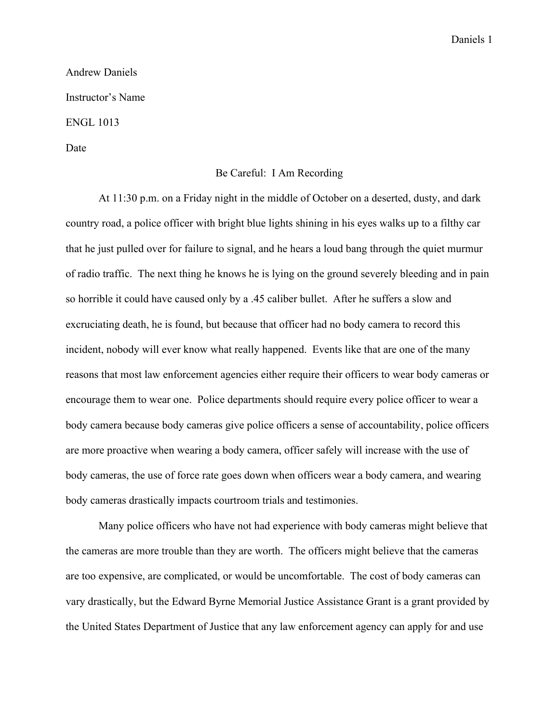## Andrew Daniels Instructor's Name ENGL 1013

Date

## Be Careful: I Am Recording

At 11:30 p.m. on a Friday night in the middle of October on a deserted, dusty, and dark country road, a police officer with bright blue lights shining in his eyes walks up to a filthy car that he just pulled over for failure to signal, and he hears a loud bang through the quiet murmur of radio traffic. The next thing he knows he is lying on the ground severely bleeding and in pain so horrible it could have caused only by a .45 caliber bullet. After he suffers a slow and excruciating death, he is found, but because that officer had no body camera to record this incident, nobody will ever know what really happened. Events like that are one of the many reasons that most law enforcement agencies either require their officers to wear body cameras or encourage them to wear one. Police departments should require every police officer to wear a body camera because body cameras give police officers a sense of accountability, police officers are more proactive when wearing a body camera, officer safely will increase with the use of body cameras, the use of force rate goes down when officers wear a body camera, and wearing body cameras drastically impacts courtroom trials and testimonies.

Many police officers who have not had experience with body cameras might believe that the cameras are more trouble than they are worth. The officers might believe that the cameras are too expensive, are complicated, or would be uncomfortable. The cost of body cameras can vary drastically, but the Edward Byrne Memorial Justice Assistance Grant is a grant provided by the United States Department of Justice that any law enforcement agency can apply for and use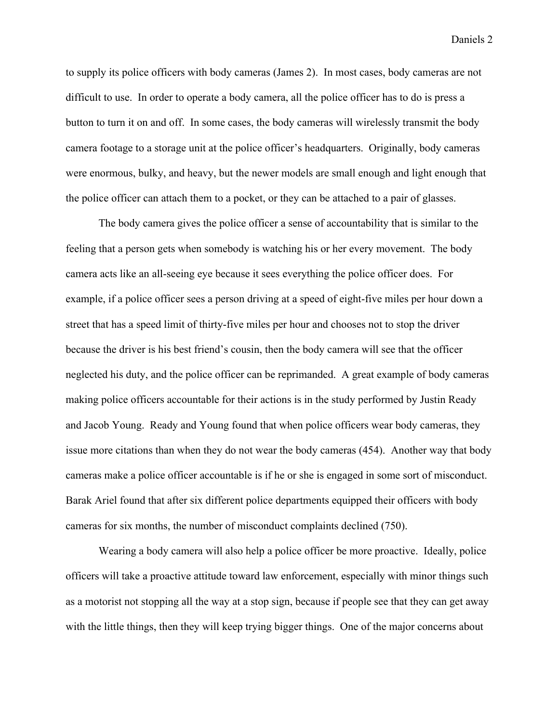to supply its police officers with body cameras (James 2). In most cases, body cameras are not difficult to use. In order to operate a body camera, all the police officer has to do is press a button to turn it on and off. In some cases, the body cameras will wirelessly transmit the body camera footage to a storage unit at the police officer's headquarters. Originally, body cameras were enormous, bulky, and heavy, but the newer models are small enough and light enough that the police officer can attach them to a pocket, or they can be attached to a pair of glasses.

The body camera gives the police officer a sense of accountability that is similar to the feeling that a person gets when somebody is watching his or her every movement. The body camera acts like an all-seeing eye because it sees everything the police officer does. For example, if a police officer sees a person driving at a speed of eight-five miles per hour down a street that has a speed limit of thirty-five miles per hour and chooses not to stop the driver because the driver is his best friend's cousin, then the body camera will see that the officer neglected his duty, and the police officer can be reprimanded. A great example of body cameras making police officers accountable for their actions is in the study performed by Justin Ready and Jacob Young. Ready and Young found that when police officers wear body cameras, they issue more citations than when they do not wear the body cameras (454). Another way that body cameras make a police officer accountable is if he or she is engaged in some sort of misconduct. Barak Ariel found that after six different police departments equipped their officers with body cameras for six months, the number of misconduct complaints declined (750).

Wearing a body camera will also help a police officer be more proactive. Ideally, police officers will take a proactive attitude toward law enforcement, especially with minor things such as a motorist not stopping all the way at a stop sign, because if people see that they can get away with the little things, then they will keep trying bigger things. One of the major concerns about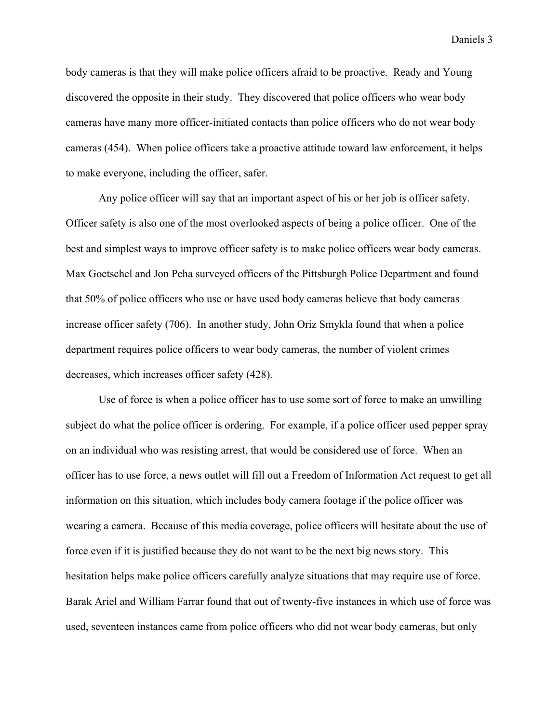body cameras is that they will make police officers afraid to be proactive. Ready and Young discovered the opposite in their study. They discovered that police officers who wear body cameras have many more officer-initiated contacts than police officers who do not wear body cameras (454). When police officers take a proactive attitude toward law enforcement, it helps to make everyone, including the officer, safer.

Any police officer will say that an important aspect of his or her job is officer safety. Officer safety is also one of the most overlooked aspects of being a police officer. One of the best and simplest ways to improve officer safety is to make police officers wear body cameras. Max Goetschel and Jon Peha surveyed officers of the Pittsburgh Police Department and found that 50% of police officers who use or have used body cameras believe that body cameras increase officer safety (706). In another study, John Oriz Smykla found that when a police department requires police officers to wear body cameras, the number of violent crimes decreases, which increases officer safety (428).

Use of force is when a police officer has to use some sort of force to make an unwilling subject do what the police officer is ordering. For example, if a police officer used pepper spray on an individual who was resisting arrest, that would be considered use of force. When an officer has to use force, a news outlet will fill out a Freedom of Information Act request to get all information on this situation, which includes body camera footage if the police officer was wearing a camera. Because of this media coverage, police officers will hesitate about the use of force even if it is justified because they do not want to be the next big news story. This hesitation helps make police officers carefully analyze situations that may require use of force. Barak Ariel and William Farrar found that out of twenty-five instances in which use of force was used, seventeen instances came from police officers who did not wear body cameras, but only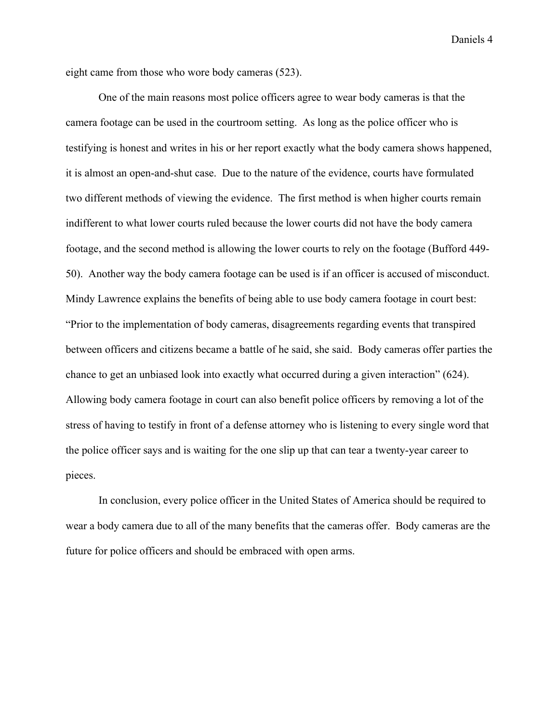eight came from those who wore body cameras (523).

One of the main reasons most police officers agree to wear body cameras is that the camera footage can be used in the courtroom setting. As long as the police officer who is testifying is honest and writes in his or her report exactly what the body camera shows happened, it is almost an open-and-shut case. Due to the nature of the evidence, courts have formulated two different methods of viewing the evidence. The first method is when higher courts remain indifferent to what lower courts ruled because the lower courts did not have the body camera footage, and the second method is allowing the lower courts to rely on the footage (Bufford 449- 50). Another way the body camera footage can be used is if an officer is accused of misconduct. Mindy Lawrence explains the benefits of being able to use body camera footage in court best: "Prior to the implementation of body cameras, disagreements regarding events that transpired between officers and citizens became a battle of he said, she said. Body cameras offer parties the chance to get an unbiased look into exactly what occurred during a given interaction" (624). Allowing body camera footage in court can also benefit police officers by removing a lot of the stress of having to testify in front of a defense attorney who is listening to every single word that the police officer says and is waiting for the one slip up that can tear a twenty-year career to pieces.

In conclusion, every police officer in the United States of America should be required to wear a body camera due to all of the many benefits that the cameras offer. Body cameras are the future for police officers and should be embraced with open arms.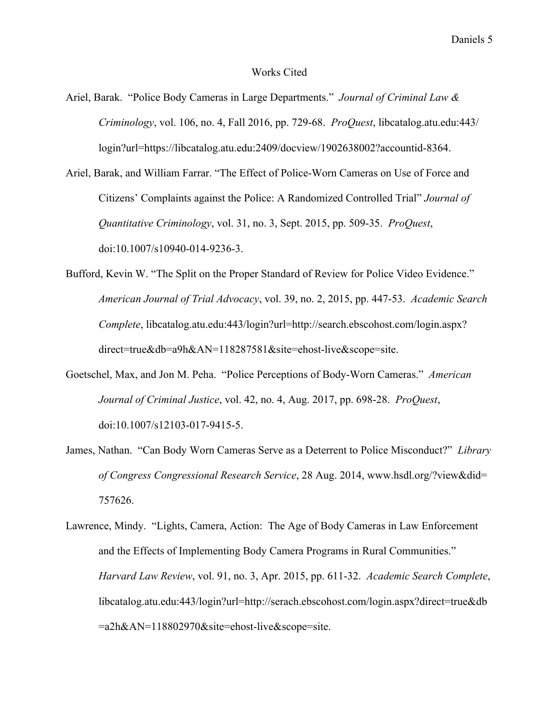## Works Cited

- Ariel, Barak. "Police Body Cameras in Large Departments." *Journal of Criminal Law & Criminology*, vol. 106, no. 4, Fall 2016, pp. 729-68. *ProQuest*, libcatalog.atu.edu:443/ login?url=https://libcatalog.atu.edu:2409/docview/1902638002?accountid-8364.
- Ariel, Barak, and William Farrar. "The Effect of Police-Worn Cameras on Use of Force and Citizens' Complaints against the Police: A Randomized Controlled Trial" *Journal of Quantitative Criminology*, vol. 31, no. 3, Sept. 2015, pp. 509-35. *ProQuest*, doi:10.1007/s10940-014-9236-3.
- Bufford, Kevin W. "The Split on the Proper Standard of Review for Police Video Evidence." *American Journal of Trial Advocacy*, vol. 39, no. 2, 2015, pp. 447-53. *Academic Search Complete*, libcatalog.atu.edu:443/login?url=http://search.ebscohost.com/login.aspx? direct=true&db=a9h&AN=118287581&site=ehost-live&scope=site.
- Goetschel, Max, and Jon M. Peha. "Police Perceptions of Body-Worn Cameras." *American Journal of Criminal Justice*, vol. 42, no. 4, Aug. 2017, pp. 698-28. *ProQuest*, doi:10.1007/s12103-017-9415-5.
- James, Nathan. "Can Body Worn Cameras Serve as a Deterrent to Police Misconduct?" *Library of Congress Congressional Research Service*, 28 Aug. 2014, www.hsdl.org/?view&did= 757626.
- Lawrence, Mindy. "Lights, Camera, Action: The Age of Body Cameras in Law Enforcement and the Effects of Implementing Body Camera Programs in Rural Communities." *Harvard Law Review*, vol. 91, no. 3, Apr. 2015, pp. 611-32. *Academic Search Complete*, libcatalog.atu.edu:443/login?url=http://serach.ebscohost.com/login.aspx?direct=true&db =a2h&AN=118802970&site=ehost-live&scope=site.